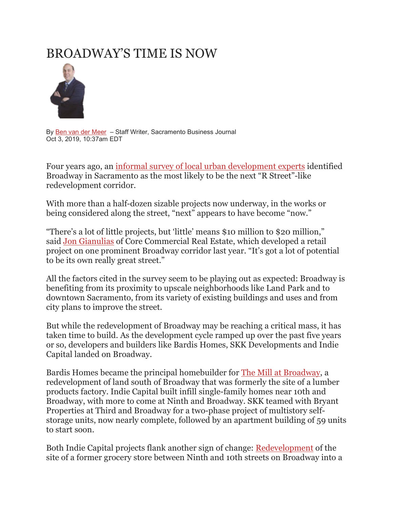# [BROADWAY'S TIME IS NOW](https://www.bizjournals.com/sacramento/bio/15911/Ben+van+der+Meer)



By Ben van der [Meer](https://www.bizjournals.com/sacramento/bio/15911/Ben+van+der+Meer) - Staff Writer, Sacramento Business Journal Oct 3, 2019, 10:37am EDT

Four years ago, an [informal survey of local urban development experts](https://www.bizjournals.com/sacramento/print-edition/2015/07/17/many-builders-and-brokers-are-betting-broadway.html) identified Broadway in Sacramento as the most likely to be the next "R Street"-like redevelopment corridor.

With more than a half-dozen sizable projects now underway, in the works or being considered along the street, "next" appears to have become "now."

"There's a lot of little projects, but 'little' means \$10 million to \$20 million," said [Jon Gianulias](https://www.bizjournals.com/sacramento/search/results?q=Jon%20Gianulias) of Core Commercial Real Estate, which developed a retail project on one prominent Broadway corridor last year. "It's got a lot of potential to be its own really great street."

All the factors cited in the survey seem to be playing out as expected: Broadway is benefiting from its proximity to upscale neighborhoods like Land Park and to downtown Sacramento, from its variety of existing buildings and uses and from city plans to improve the street.

But while the redevelopment of Broadway may be reaching a critical mass, it has taken time to build. As the development cycle ramped up over the past five years or so, developers and builders like Bardis Homes, SKK Developments and Indie Capital landed on Broadway.

Bardis Homes became the principal homebuilder for [The Mill at Broadway,](https://www.bizjournals.com/sacramento/news/2019/08/14/mill-at-broadway-adds-84-unit-apartment-project.html) a redevelopment of land south of Broadway that was formerly the site of a lumber products factory. Indie Capital built infill single-family homes near 10th and Broadway, with more to come at Ninth and Broadway. SKK teamed with Bryant Properties at Third and Broadway for a two-phase project of multistory selfstorage units, now nearly complete, followed by an apartment building of 59 units to start soon.

Both Indie Capital projects flank another sign of change: [Redevelopment](https://www.bizjournals.com/sacramento/news/2017/09/18/bike-dog-opens-a-new-taproom-plus-other-local.html) of the site of a former grocery store between Ninth and 10th streets on Broadway into a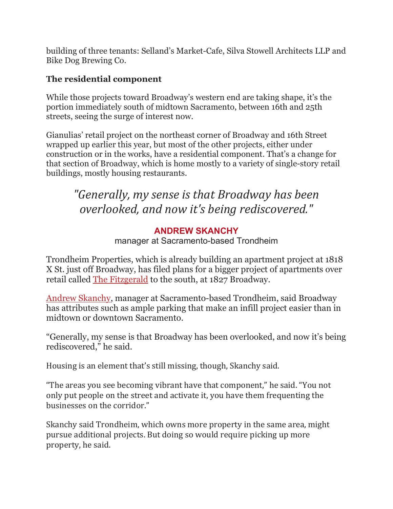building of three tenants: Selland's Market-Cafe, Silva Stowell Architects LLP and Bike Dog Brewing Co.

#### **The residential component**

While those projects toward Broadway's western end are taking shape, it's the portion immediately south of midtown Sacramento, between 16th and 25th streets, seeing the surge of interest now.

Gianulias' retail project on the northeast corner of Broadway and 16th Street wrapped up earlier this year, but most of the other projects, either under construction or in the works, have a residential component. That's a change for that section of Broadway, which is home mostly to a variety of single-story retail buildings, mostly housing restaurants.

## *"Generally, my sense is that Broadway has been overlooked, and now it's being rediscovered."*

### **ANDREW SKANCHY**

manager at Sacramento-based Trondheim

Trondheim Properties, which is already building an apartment project at 1818 X St. just off Broadway, has filed plans for a bigger project of apartments over retail called [The Fitzgerald](https://www.bizjournals.com/sacramento/news/2019/07/25/residentialretail-project-planned-on-broadway-near.html) to the south, at 1827 Broadway.

[Andrew Skanchy,](https://www.bizjournals.com/sacramento/search/results?q=Andrew%20Skanchy) manager at Sacramento-based Trondheim, said Broadway has attributes such as ample parking that make an infill project easier than in midtown or downtown Sacramento.

"Generally, my sense is that Broadway has been overlooked, and now it's being rediscovered," he said.

Housing is an element that's still missing, though, Skanchy said.

"The areas you see becoming vibrant have that component," he said. "You not only put people on the street and activate it, you have them frequenting the businesses on the corridor."

Skanchy said Trondheim, which owns more property in the same area, might pursue additional projects. But doing so would require picking up more property, he said.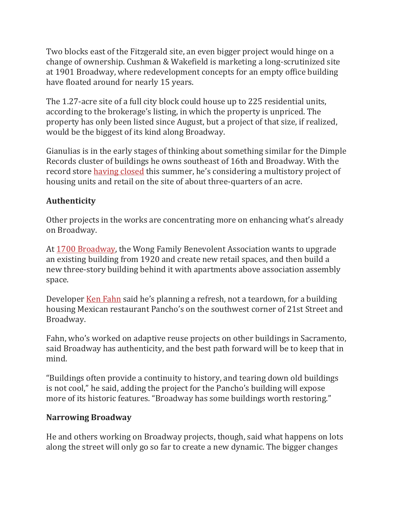Two blocks east of the Fitzgerald site, an even bigger project would hinge on a change of ownership. Cushman & Wakefield is marketing a long-scrutinized site at 1901 Broadway, where redevelopment concepts for an empty office building have floated around for nearly 15 years.

The 1.27-acre site of a full city block could house up to 225 residential units, according to the brokerage's listing, in which the property is unpriced. The property has only been listed since August, but a project of that size, if realized, would be the biggest of its kind along Broadway.

Gianulias is in the early stages of thinking about something similar for the Dimple Records cluster of buildings he owns southeast of 16th and Broadway. With the record store [having closed](https://www.bizjournals.com/sacramento/news/2019/06/27/retail-opportunities-arise-as-dimple-records.html) this summer, he's considering a multistory project of housing units and retail on the site of about three-quarters of an acre.

### **Authenticity**

Other projects in the works are concentrating more on enhancing what's already on Broadway.

At [1700 Broadway,](https://www.bizjournals.com/sacramento/news/2019/08/13/new-project-proposed-on-broadway.html) the Wong Family Benevolent Association wants to upgrade an existing building from 1920 and create new retail spaces, and then build a new three-story building behind it with apartments above association assembly space.

Developer <u>[Ken Fahn](https://www.bizjournals.com/sacramento/search/results?q=Ken%20Fahn)</u> said he's planning a refresh, not a teardown, for a building housing Mexican restaurant Pancho's on the southwest corner of 21st Street and Broadway.

Fahn, who's worked on adaptive reuse projects on other buildings in Sacramento, said Broadway has authenticity, and the best path forward will be to keep that in mind.

"Buildings often provide a continuity to history, and tearing down old buildings is not cool," he said, adding the project for the Pancho's building will expose more of its historic features. "Broadway has some buildings worth restoring."

#### **Narrowing Broadway**

He and others working on Broadway projects, though, said what happens on lots along the street will only go so far to create a new dynamic. The bigger changes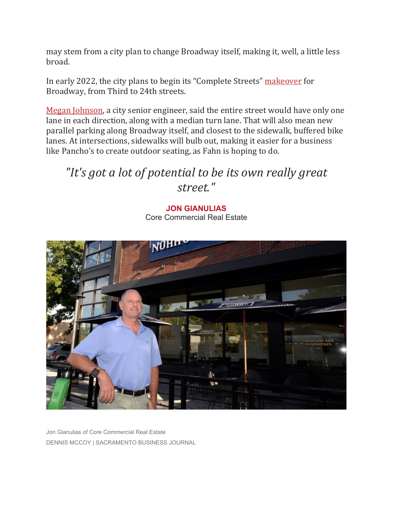may stem from a city plan to change Broadway itself, making it, well, a little less broad.

In early 2022, the city plans to begin its "Complete Streets" [makeover](https://www.bizjournals.com/sacramento/news/2019/08/09/sacramento-details-10-million-plan-for.html) for Broadway, from Third to 24th streets.

[Megan Johnson,](https://www.bizjournals.com/sacramento/search/results?q=Megan%20Johnson) a city senior engineer, said the entire street would have only one lane in each direction, along with a median turn lane. That will also mean new parallel parking along Broadway itself, and closest to the sidewalk, buffered bike lanes. At intersections, sidewalks will bulb out, making it easier for a business like Pancho's to create outdoor seating, as Fahn is hoping to do.

## *"It's got a lot of potential to be its own really great street."*

**JON GIANULIAS** Core Commercial Real Estate

Jon Gianulias of Core Commercial Real Estate DENNIS MCCOY | SACRAMENTO BUSINESS JOURNAL